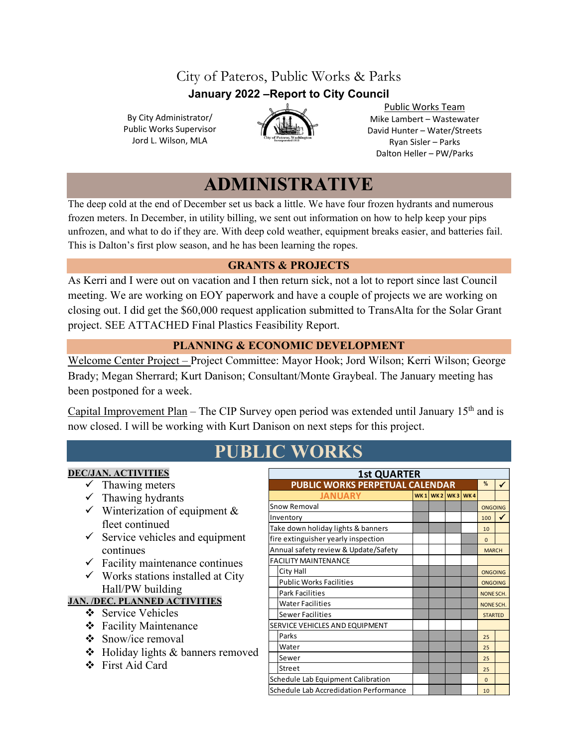# City of Pateros, Public Works & Parks **January 2022 –Report to City Council**

By City Administrator/ Public Works Supervisor Jord L. Wilson, MLA



Public Works Team Mike Lambert – Wastewater David Hunter – Water/Streets Ryan Sisler – Parks Dalton Heller – PW/Parks

# **ADMINISTRATIVE**

The deep cold at the end of December set us back a little. We have four frozen hydrants and numerous frozen meters. In December, in utility billing, we sent out information on how to help keep your pips unfrozen, and what to do if they are. With deep cold weather, equipment breaks easier, and batteries fail. This is Dalton's first plow season, and he has been learning the ropes.

## **GRANTS & PROJECTS**

As Kerri and I were out on vacation and I then return sick, not a lot to report since last Council meeting. We are working on EOY paperwork and have a couple of projects we are working on closing out. I did get the \$60,000 request application submitted to TransAlta for the Solar Grant project. SEE ATTACHED Final Plastics Feasibility Report.

## **PLANNING & ECONOMIC DEVELOPMENT**

Welcome Center Project – Project Committee: Mayor Hook; Jord Wilson; Kerri Wilson; George Brady; Megan Sherrard; Kurt Danison; Consultant/Monte Graybeal. The January meeting has been postponed for a week.

Capital Improvement Plan - The CIP Survey open period was extended until January 15<sup>th</sup> and is now closed. I will be working with Kurt Danison on next steps for this project.

# **PUBLIC WORKS**

### **DEC/JAN. ACTIVITIES**

- $\checkmark$  Thawing meters
- $\checkmark$  Thawing hydrants
- $\checkmark$  Winterization of equipment & fleet continued
- $\checkmark$  Service vehicles and equipment continues
- $\checkmark$  Facility maintenance continues
- $\checkmark$  Works stations installed at City Hall/PW building

## **JAN. /DEC. PLANNED ACTIVITIES**

- Service Vehicles
- Facility Maintenance
- $\div$  Snow/ice removal
- Holiday lights & banners removed
- First Aid Card

| <b>1st QUARTER</b>                     |  |  |              |           |                |  |  |  |
|----------------------------------------|--|--|--------------|-----------|----------------|--|--|--|
| <b>PUBLIC WORKS PERPETUAL CALENDAR</b> |  |  |              |           |                |  |  |  |
| <b>JANUARY</b>                         |  |  | WK1WK2WK3WK4 |           |                |  |  |  |
| Snow Removal                           |  |  |              |           | <b>ONGOING</b> |  |  |  |
| Inventory                              |  |  |              |           | 100            |  |  |  |
| Take down holiday lights & banners     |  |  |              |           | 10             |  |  |  |
| fire extinguisher yearly inspection    |  |  |              |           | $\Omega$       |  |  |  |
| Annual safety review & Update/Safety   |  |  |              |           |                |  |  |  |
| <b>FACILITY MAINTENANCE</b>            |  |  |              |           |                |  |  |  |
| City Hall                              |  |  |              |           |                |  |  |  |
| <b>Public Works Facilities</b>         |  |  |              |           | ONGOING        |  |  |  |
| <b>Park Facilities</b>                 |  |  |              |           | NONE SCH.      |  |  |  |
| <b>Water Facilities</b>                |  |  |              | NONE SCH. |                |  |  |  |
| Sewer Facilities                       |  |  |              |           |                |  |  |  |
| SERVICE VEHICLES AND EQUIPMENT         |  |  |              |           |                |  |  |  |
| Parks                                  |  |  |              |           | 25             |  |  |  |
| Water                                  |  |  |              |           | 25             |  |  |  |
| Sewer                                  |  |  |              |           | 25             |  |  |  |
| Street                                 |  |  |              |           | 25             |  |  |  |
| Schedule Lab Equipment Calibration     |  |  |              |           |                |  |  |  |
| Schedule Lab Accredidation Performance |  |  |              |           |                |  |  |  |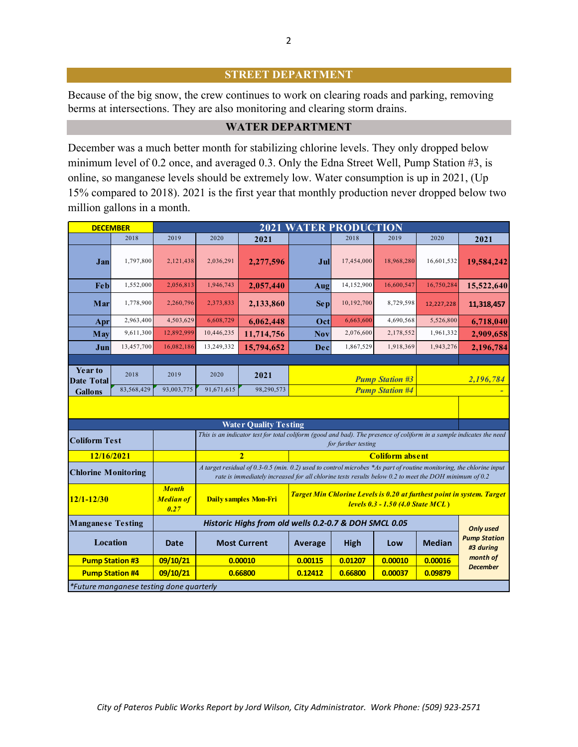#### **STREET DEPARTMENT**

Because of the big snow, the crew continues to work on clearing roads and parking, removing berms at intersections. They are also monitoring and clearing storm drains.

#### **WATER DEPARTMENT**

December was a much better month for stabilizing chlorine levels. They only dropped below minimum level of 0.2 once, and averaged 0.3. Only the Edna Street Well, Pump Station #3, is online, so manganese levels should be extremely low. Water consumption is up in 2021, (Up 15% compared to 2018). 2021 is the first year that monthly production never dropped below two million gallons in a month.

| <b>DECEMBER</b>                                                                                                                                                     |            | <b>2021 WATER PRODUCTION</b> |            |                              |                                                                                                                                                                                                                              |            |            |                             |                                  |  |
|---------------------------------------------------------------------------------------------------------------------------------------------------------------------|------------|------------------------------|------------|------------------------------|------------------------------------------------------------------------------------------------------------------------------------------------------------------------------------------------------------------------------|------------|------------|-----------------------------|----------------------------------|--|
|                                                                                                                                                                     | 2018       | 2019                         | 2020       | 2021                         |                                                                                                                                                                                                                              | 2018       | 2019       | 2020                        | 2021                             |  |
| Jan                                                                                                                                                                 | 1,797,800  | 2,121,438                    | 2,036,291  | 2,277,596                    | Jul                                                                                                                                                                                                                          | 17,454,000 | 18,968,280 | 16,601,532                  | 19,584,242                       |  |
| Feb                                                                                                                                                                 | 1,552,000  | 2,056,813                    | 1,946,743  | 2,057,440                    | Aug                                                                                                                                                                                                                          | 14,152,900 | 16,600,547 | 16,750,284                  | 15,522,640                       |  |
| Mar                                                                                                                                                                 | 1,778,900  | 2,260,796                    | 2,373,833  | 2,133,860                    | <b>Sep</b>                                                                                                                                                                                                                   | 10,192,700 | 8,729,598  | 12,227,228                  | 11,318,457                       |  |
| Apr                                                                                                                                                                 | 2,963,400  | 4,503,629                    | 6,608,729  | 6,062,448                    | Oct                                                                                                                                                                                                                          | 6,663,600  | 4,690,568  | 5,526,800                   | 6,718,040                        |  |
| May                                                                                                                                                                 | 9,611,300  | 12,892,999                   | 10,446,235 | 11,714,756                   | <b>Nov</b>                                                                                                                                                                                                                   | 2,076,600  | 2,178,552  | 1,961,332                   | 2,909,658                        |  |
| Jun                                                                                                                                                                 | 13,457,700 | 16,082,186                   | 13,249,332 | 15,794,652                   | Dec                                                                                                                                                                                                                          | 1,867,529  | 1,918,369  | 1,943,276                   | 2,196,784                        |  |
|                                                                                                                                                                     |            |                              |            |                              |                                                                                                                                                                                                                              |            |            |                             |                                  |  |
| Year to<br><b>Date Total</b>                                                                                                                                        | 2018       | 2019                         | 2020       | 2021                         | <b>Pump Station #3</b>                                                                                                                                                                                                       |            |            | 2,196,784                   |                                  |  |
| <b>Gallons</b>                                                                                                                                                      | 83,568,429 | 93,003,775                   | 91,671,615 | 98,290,573                   | <b>Pump Station #4</b>                                                                                                                                                                                                       |            |            |                             |                                  |  |
| <b>Water Quality Testing</b>                                                                                                                                        |            |                              |            |                              |                                                                                                                                                                                                                              |            |            |                             |                                  |  |
| This is an indicator test for total coliform (good and bad). The presence of coliform in a sample indicates the need<br><b>Coliform Test</b><br>for further testing |            |                              |            |                              |                                                                                                                                                                                                                              |            |            |                             |                                  |  |
| 12/16/2021                                                                                                                                                          |            |                              |            | $\overline{2}$               | <b>Coliform absent</b>                                                                                                                                                                                                       |            |            |                             |                                  |  |
| <b>Chlorine Monitoring</b>                                                                                                                                          |            |                              |            |                              | A target residual of 0.3-0.5 (min. 0.2) used to control microbes *As part of routine monitoring, the chlorine input<br>rate is immediately increased for all chlorine tests results below 0.2 to meet the DOH minimum of 0.2 |            |            |                             |                                  |  |
| <b>Month</b><br><b>Median of</b><br>$12/1 - 12/30$<br>0.27                                                                                                          |            |                              |            | <b>Daily samples Mon-Fri</b> | Target Min Chlorine Levels is 0.20 at furthest point in system. Target<br><b>levels 0.3 - 1.50 (4.0 State MCL)</b>                                                                                                           |            |            |                             |                                  |  |
| <b>Manganese Testing</b><br>Historic Highs from old wells 0.2-0.7 & DOH SMCL 0.05<br><b>Only used</b>                                                               |            |                              |            |                              |                                                                                                                                                                                                                              |            |            |                             |                                  |  |
| Location                                                                                                                                                            |            | Date                         |            | <b>Most Current</b>          | Average                                                                                                                                                                                                                      | High       | Low        | <b>Median</b>               | <b>Pump Station</b><br>#3 during |  |
| <b>Pump Station #3</b>                                                                                                                                              |            | 09/10/21                     |            | 0.00010                      | 0.00115<br>0.01207<br>0.00010                                                                                                                                                                                                |            | 0.00016    | month of<br><b>December</b> |                                  |  |
| <b>Pump Station #4</b>                                                                                                                                              |            | 09/10/21                     |            | 0.66800                      | 0.12412<br>0.66800<br>0.00037<br>0.09879                                                                                                                                                                                     |            |            |                             |                                  |  |
| *Future manganese testing done quarterly                                                                                                                            |            |                              |            |                              |                                                                                                                                                                                                                              |            |            |                             |                                  |  |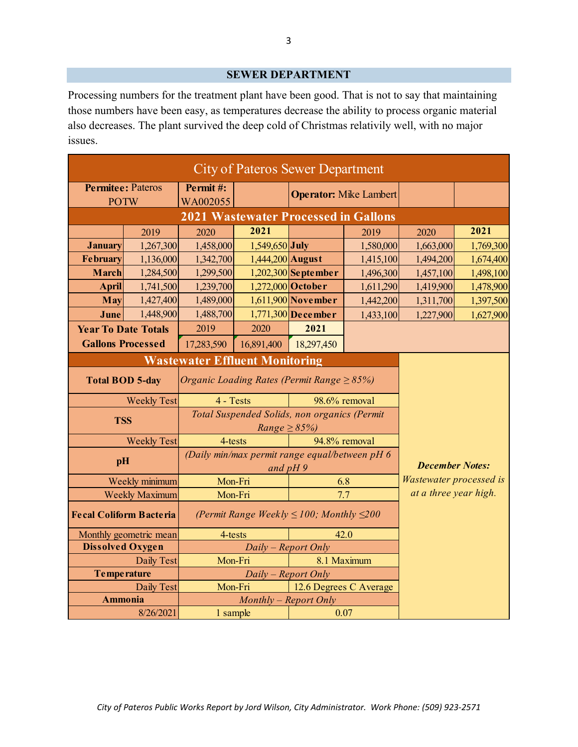#### **SEWER DEPARTMENT**

Processing numbers for the treatment plant have been good. That is not to say that maintaining those numbers have been easy, as temperatures decrease the ability to process organic material also decreases. The plant survived the deep cold of Christmas relativily well, with no major issues.

| <b>City of Pateros Sewer Department</b> |                   |                                                            |                                                                    |                               |               |                         |           |  |
|-----------------------------------------|-------------------|------------------------------------------------------------|--------------------------------------------------------------------|-------------------------------|---------------|-------------------------|-----------|--|
| <b>Permitee: Pateros</b>                |                   | Permit#:                                                   |                                                                    | <b>Operator:</b> Mike Lambert |               |                         |           |  |
| <b>POTW</b>                             |                   | WA002055                                                   |                                                                    |                               |               |                         |           |  |
|                                         |                   | <b>2021 Wastewater Processed in Gallons</b>                |                                                                    |                               |               |                         |           |  |
|                                         | 2019              | 2020                                                       | 2021                                                               |                               | 2019          | 2020                    | 2021      |  |
| <b>January</b>                          | 1,267,300         | 1,458,000                                                  | $1,549,650$ July                                                   |                               | 1,580,000     | 1,663,000               | 1,769,300 |  |
| <b>February</b>                         | 1,136,000         | 1,342,700                                                  | $1,444,200$ August                                                 |                               | 1,415,100     | 1,494,200               | 1,674,400 |  |
| <b>March</b>                            | 1,284,500         | 1,299,500                                                  |                                                                    | $1,202,300$ September         | 1,496,300     | 1,457,100               | 1,498,100 |  |
| April                                   | 1,741,500         | 1,239,700                                                  |                                                                    | 1,272,000 October             | 1,611,290     | 1,419,900               | 1,478,900 |  |
| May                                     | 1,427,400         | 1,489,000                                                  |                                                                    | $1,611,900$ November          | 1,442,200     | 1,311,700               | 1,397,500 |  |
| June                                    | 1,448,900         | 1,488,700                                                  |                                                                    | $1,771,300$ December          | 1,433,100     | 1,227,900               | 1,627,900 |  |
| <b>Year To Date Totals</b>              |                   | 2019                                                       | 2020                                                               | 2021                          |               |                         |           |  |
| <b>Gallons Processed</b>                |                   | 17,283,590                                                 | 16,891,400                                                         | 18,297,450                    |               |                         |           |  |
| <b>Wastewater Effluent Monitoring</b>   |                   |                                                            |                                                                    |                               |               |                         |           |  |
| <b>Total BOD 5-day</b>                  |                   | Organic Loading Rates (Permit Range $\geq$ 85%)            |                                                                    |                               |               |                         |           |  |
| <b>Weekly Test</b>                      |                   | 4 - Tests                                                  |                                                                    |                               | 98.6% removal |                         |           |  |
| <b>TSS</b>                              |                   |                                                            | Total Suspended Solids, non organics (Permit<br>$Range \geq 85\%)$ |                               |               |                         |           |  |
| <b>Weekly Test</b>                      |                   | 94.8% removal<br>4-tests                                   |                                                                    |                               |               |                         |           |  |
| pH                                      |                   |                                                            | (Daily min/max permit range equal/between pH 6<br>and $pH9$        | <b>December Notes:</b>        |               |                         |           |  |
| Weekly minimum                          |                   | Mon-Fri                                                    |                                                                    | 6.8                           |               | Wastewater processed is |           |  |
| <b>Weekly Maximum</b>                   |                   | Mon-Fri                                                    |                                                                    | 7.7                           |               | at a three year high.   |           |  |
| <b>Fecal Coliform Bacteria</b>          |                   |                                                            | (Permit Range Weekly $\leq$ 100; Monthly $\leq$ 200                |                               |               |                         |           |  |
| Monthly geometric mean                  |                   | 4-tests                                                    |                                                                    |                               | 42.0          |                         |           |  |
| <b>Dissolved Oxygen</b>                 |                   | Daily – Report Only                                        |                                                                    |                               |               |                         |           |  |
|                                         | Daily Test        | Mon-Fri<br>8.1 Maximum                                     |                                                                    |                               |               |                         |           |  |
| <b>Temperature</b>                      |                   | $Daily - Report$ Only<br>Mon-Fri<br>12.6 Degrees C Average |                                                                    |                               |               |                         |           |  |
|                                         | <b>Daily Test</b> |                                                            |                                                                    |                               |               |                         |           |  |
| Ammonia                                 |                   | Monthly - Report Only                                      |                                                                    |                               |               |                         |           |  |
| 8/26/2021                               |                   | 0.07<br>1 sample                                           |                                                                    |                               |               |                         |           |  |